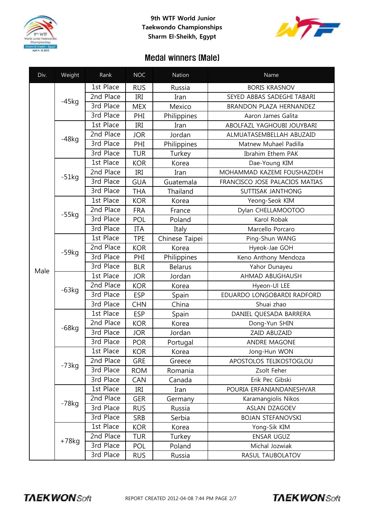

## **9th WTF World Junior Taekwondo Championships Sharm El-Sheikh, Egypt**



## Medal winners (Male)

| Div. | Weight   | Rank      | <b>NOC</b> | Nation         | Name                           |
|------|----------|-----------|------------|----------------|--------------------------------|
|      | $-45kg$  | 1st Place | <b>RUS</b> | Russia         | <b>BORIS KRASNOV</b>           |
|      |          | 2nd Place | IRI        | Iran           | SEYED ABBAS SADEGHI TABARI     |
|      |          | 3rd Place | <b>MEX</b> | Mexico         | BRANDON PLAZA HERNANDEZ        |
|      |          | 3rd Place | PHI        | Philippines    | Aaron James Galita             |
|      | $-48kg$  | 1st Place | IRI        | Iran           | ABOLFAZL YAGHOUBI JOUYBARI     |
|      |          | 2nd Place | <b>JOR</b> | Jordan         | ALMUATASEMBELLAH ABUZAID       |
|      |          | 3rd Place | PHI        | Philippines    | Matnew Muhael Padilla          |
|      |          | 3rd Place | <b>TUR</b> | Turkey         | Ibrahim Ethem PAK              |
|      | $-51kg$  | 1st Place | <b>KOR</b> | Korea          | Dae-Young KIM                  |
|      |          | 2nd Place | IRI        | Iran           | MOHAMMAD KAZEMI FOUSHAZDEH     |
|      |          | 3rd Place | <b>GUA</b> | Guatemala      | FRANCISCO JOSE PALACIOS MATIAS |
|      |          | 3rd Place | <b>THA</b> | Thailand       | SUTTISAK JANTHONG              |
|      | $-55kg$  | 1st Place | <b>KOR</b> | Korea          | Yeong-Seok KIM                 |
|      |          | 2nd Place | <b>FRA</b> | France         | Dylan CHELLAMOOTOO             |
|      |          | 3rd Place | POL        | Poland         | Karol Robak                    |
|      |          | 3rd Place | <b>ITA</b> | Italy          | Marcello Porcaro               |
|      | $-59kg$  | 1st Place | <b>TPE</b> | Chinese Taipei | Ping-Shun WANG                 |
| Male |          | 2nd Place | <b>KOR</b> | Korea          | Hyeok-Jae GOH                  |
|      |          | 3rd Place | PHI        | Philippines    | Keno Anthony Mendoza           |
|      |          | 3rd Place | <b>BLR</b> | <b>Belarus</b> | Yahor Dunayeu                  |
|      | $-63kg$  | 1st Place | <b>JOR</b> | Jordan         | AHMAD ABUGHAUSH                |
|      |          | 2nd Place | <b>KOR</b> | Korea          | Hyeon-Ul LEE                   |
|      |          | 3rd Place | <b>ESP</b> | Spain          | EDUARDO LONGOBARDI RADFORD     |
|      |          | 3rd Place | <b>CHN</b> | China          | Shuai zhao                     |
|      | $-68$ kg | 1st Place | <b>ESP</b> | Spain          | DANIEL QUESADA BARRERA         |
|      |          | 2nd Place | <b>KOR</b> | Korea          | Dong-Yun SHIN                  |
|      |          | 3rd Place | <b>JOR</b> | Jordan         | ZAID ABUZAID                   |
|      |          | 3rd Place | <b>POR</b> | Portugal       | ANDRE MAGONE                   |
|      | $-73kg$  | 1st Place | <b>KOR</b> | Korea          | Jong-Hun WON                   |
|      |          | 2nd Place | <b>GRE</b> | Greece         | APOSTOLOS TELIKOSTOGLOU        |
|      |          | 3rd Place | <b>ROM</b> | Romania        | Zsolt Feher                    |
|      |          | 3rd Place | CAN        | Canada         | Erik Pec Gibski                |
|      | $-78kg$  | 1st Place | IRI        | Iran           | POURIA ERFANIANDANESHVAR       |
|      |          | 2nd Place | <b>GER</b> | Germany        | Karamangiolis Nikos            |
|      |          | 3rd Place | <b>RUS</b> | Russia         | ASLAN DZAGOEV                  |
|      |          | 3rd Place | <b>SRB</b> | Serbia         | <b>BOJAN STEFANOVSKI</b>       |
|      | $+78kg$  | 1st Place | <b>KOR</b> | Korea          | Yong-Sik KIM                   |
|      |          | 2nd Place | <b>TUR</b> | Turkey         | ENSAR UGUZ                     |
|      |          | 3rd Place | POL        | Poland         | Michal Jozwiak                 |
|      |          | 3rd Place | <b>RUS</b> | Russia         | RASUL TAUBOLATOV               |